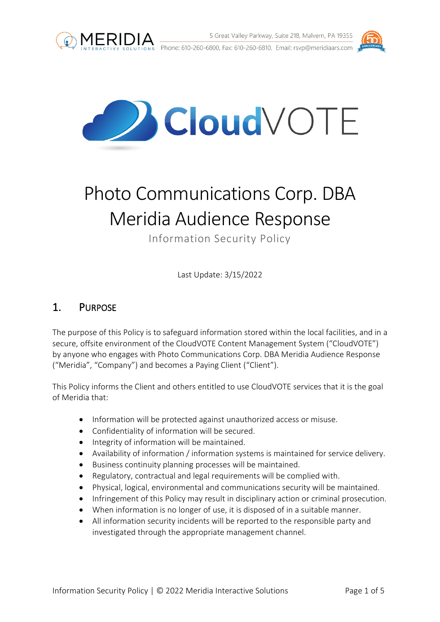





# Photo Communications Corp. DBA Meridia Audience Response

Information Security Policy

Last Update: 3/15/2022

# 1. PURPOSE

The purpose of this Policy is to safeguard information stored within the local facilities, and in a secure, offsite environment of the CloudVOTE Content Management System ("CloudVOTE") by anyone who engages with Photo Communications Corp. DBA Meridia Audience Response ("Meridia", "Company") and becomes a Paying Client ("Client").

This Policy informs the Client and others entitled to use CloudVOTE services that it is the goal of Meridia that:

- Information will be protected against unauthorized access or misuse.
- Confidentiality of information will be secured.
- Integrity of information will be maintained.
- Availability of information / information systems is maintained for service delivery.
- Business continuity planning processes will be maintained.
- Regulatory, contractual and legal requirements will be complied with.
- Physical, logical, environmental and communications security will be maintained.
- Infringement of this Policy may result in disciplinary action or criminal prosecution.
- When information is no longer of use, it is disposed of in a suitable manner.
- All information security incidents will be reported to the responsible party and investigated through the appropriate management channel.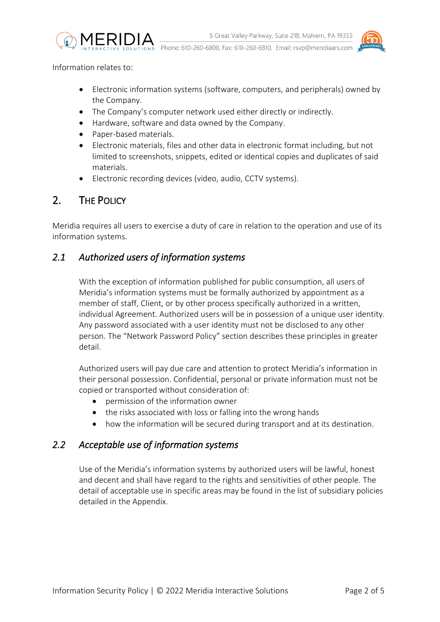

Phone: 610-260-6800, Fax: 610-260-6810, Email: rsvp@meridiaars.com



Information relates to:

- Electronic information systems (software, computers, and peripherals) owned by the Company.
- The Company's computer network used either directly or indirectly.
- Hardware, software and data owned by the Company.
- Paper-based materials.
- Electronic materials, files and other data in electronic format including, but not limited to screenshots, snippets, edited or identical copies and duplicates of said materials.
- Electronic recording devices (video, audio, CCTV systems).

# 2. THE POLICY

Meridia requires all users to exercise a duty of care in relation to the operation and use of its information systems.

### *2.1 Authorized users of information systems*

With the exception of information published for public consumption, all users of Meridia's information systems must be formally authorized by appointment as a member of staff, Client, or by other process specifically authorized in a written, individual Agreement. Authorized users will be in possession of a unique user identity. Any password associated with a user identity must not be disclosed to any other person. The "Network Password Policy" section describes these principles in greater detail.

Authorized users will pay due care and attention to protect Meridia's information in their personal possession. Confidential, personal or private information must not be copied or transported without consideration of:

- permission of the information owner
- the risks associated with loss or falling into the wrong hands
- how the information will be secured during transport and at its destination.

## *2.2 Acceptable use of information systems*

Use of the Meridia's information systems by authorized users will be lawful, honest and decent and shall have regard to the rights and sensitivities of other people. The detail of acceptable use in specific areas may be found in the list of subsidiary policies detailed in the Appendix.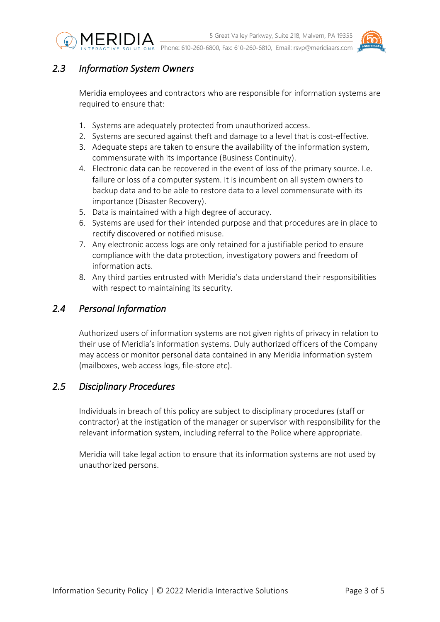



## *2.3 Information System Owners*

Meridia employees and contractors who are responsible for information systems are required to ensure that:

- 1. Systems are adequately protected from unauthorized access.
- 2. Systems are secured against theft and damage to a level that is cost-effective.
- 3. Adequate steps are taken to ensure the availability of the information system, commensurate with its importance (Business Continuity).
- 4. Electronic data can be recovered in the event of loss of the primary source. I.e. failure or loss of a computer system. It is incumbent on all system owners to backup data and to be able to restore data to a level commensurate with its importance (Disaster Recovery).
- 5. Data is maintained with a high degree of accuracy.
- 6. Systems are used for their intended purpose and that procedures are in place to rectify discovered or notified misuse.
- 7. Any electronic access logs are only retained for a justifiable period to ensure compliance with the data protection, investigatory powers and freedom of information acts.
- 8. Any third parties entrusted with Meridia's data understand their responsibilities with respect to maintaining its security.

### *2.4 Personal Information*

Authorized users of information systems are not given rights of privacy in relation to their use of Meridia's information systems. Duly authorized officers of the Company may access or monitor personal data contained in any Meridia information system (mailboxes, web access logs, file-store etc).

#### *2.5 Disciplinary Procedures*

Individuals in breach of this policy are subject to disciplinary procedures (staff or contractor) at the instigation of the manager or supervisor with responsibility for the relevant information system, including referral to the Police where appropriate.

Meridia will take legal action to ensure that its information systems are not used by unauthorized persons.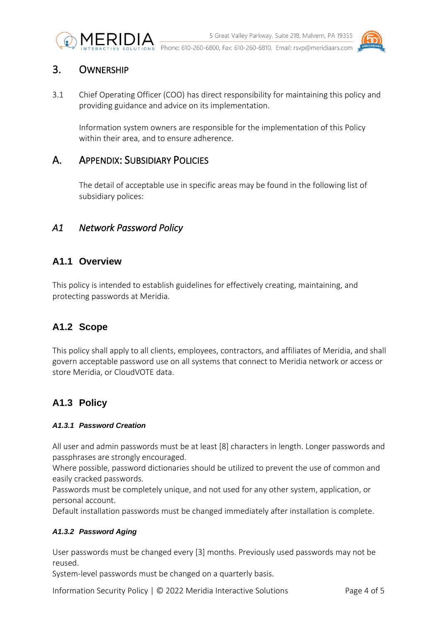



# 3. OWNERSHIP

3.1 Chief Operating Officer (COO) has direct responsibility for maintaining this policy and providing guidance and advice on its implementation.

Information system owners are responsible for the implementation of this Policy within their area, and to ensure adherence.

# A. APPENDIX: SUBSIDIARY POLICIES

The detail of acceptable use in specific areas may be found in the following list of subsidiary polices:

## *A1 Network Password Policy*

## **A1.1 Overview**

This policy is intended to establish guidelines for effectively creating, maintaining, and protecting passwords at Meridia.

# **A1.2 Scope**

This policy shall apply to all clients, employees, contractors, and affiliates of Meridia, and shall govern acceptable password use on all systems that connect to Meridia network or access or store Meridia, or CloudVOTE data.

# **A1.3 Policy**

#### *A1.3.1 Password Creation*

All user and admin passwords must be at least [8] characters in length. Longer passwords and passphrases are strongly encouraged.

Where possible, password dictionaries should be utilized to prevent the use of common and easily cracked passwords.

Passwords must be completely unique, and not used for any other system, application, or personal account.

Default installation passwords must be changed immediately after installation is complete.

#### *A1.3.2 Password Aging*

User passwords must be changed every [3] months. Previously used passwords may not be reused.

System-level passwords must be changed on a quarterly basis.

Information Security Policy | © 2022 Meridia Interactive Solutions Page 4 of 5